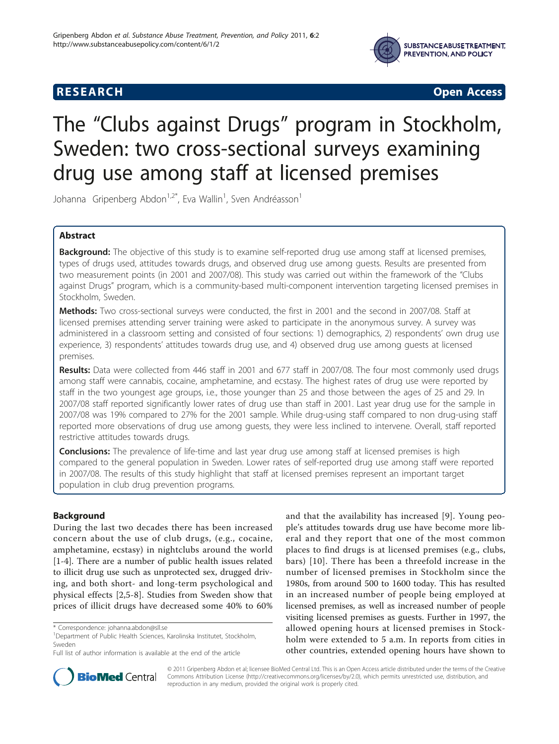

## **RESEARCH CONTROL** CONTROL CONTROL CONTROL CONTROL CONTROL CONTROL CONTROL CONTROL CONTROL CONTROL CONTROL CONTROL CONTROL CONTROL CONTROL CONTROL CONTROL CONTROL CONTROL CONTROL CONTROL CONTROL CONTROL CONTROL CONTROL CON

# The "Clubs against Drugs" program in Stockholm, Sweden: two cross-sectional surveys examining drug use among staff at licensed premises

Johanna Gripenberg Abdon<sup>1,2\*</sup>, Eva Wallin<sup>1</sup>, Sven Andréasson<sup>1</sup>

## Abstract

Background: The objective of this study is to examine self-reported drug use among staff at licensed premises, types of drugs used, attitudes towards drugs, and observed drug use among guests. Results are presented from two measurement points (in 2001 and 2007/08). This study was carried out within the framework of the "Clubs against Drugs" program, which is a community-based multi-component intervention targeting licensed premises in Stockholm, Sweden.

Methods: Two cross-sectional surveys were conducted, the first in 2001 and the second in 2007/08. Staff at licensed premises attending server training were asked to participate in the anonymous survey. A survey was administered in a classroom setting and consisted of four sections: 1) demographics, 2) respondents' own drug use experience, 3) respondents' attitudes towards drug use, and 4) observed drug use among guests at licensed premises.

Results: Data were collected from 446 staff in 2001 and 677 staff in 2007/08. The four most commonly used drugs among staff were cannabis, cocaine, amphetamine, and ecstasy. The highest rates of drug use were reported by staff in the two youngest age groups, i.e., those younger than 25 and those between the ages of 25 and 29. In 2007/08 staff reported significantly lower rates of drug use than staff in 2001. Last year drug use for the sample in 2007/08 was 19% compared to 27% for the 2001 sample. While drug-using staff compared to non drug-using staff reported more observations of drug use among guests, they were less inclined to intervene. Overall, staff reported restrictive attitudes towards drugs.

**Conclusions:** The prevalence of life-time and last year drug use among staff at licensed premises is high compared to the general population in Sweden. Lower rates of self-reported drug use among staff were reported in 2007/08. The results of this study highlight that staff at licensed premises represent an important target population in club drug prevention programs.

## Background

During the last two decades there has been increased concern about the use of club drugs, (e.g., cocaine, amphetamine, ecstasy) in nightclubs around the world [[1-4](#page-6-0)]. There are a number of public health issues related to illicit drug use such as unprotected sex, drugged driving, and both short- and long-term psychological and physical effects [[2,5](#page-6-0)-[8\]](#page-6-0). Studies from Sweden show that prices of illicit drugs have decreased some 40% to 60%

and that the availability has increased [\[9](#page-6-0)]. Young people's attitudes towards drug use have become more liberal and they report that one of the most common places to find drugs is at licensed premises (e.g., clubs, bars) [[10](#page-6-0)]. There has been a threefold increase in the number of licensed premises in Stockholm since the 1980s, from around 500 to 1600 today. This has resulted in an increased number of people being employed at licensed premises, as well as increased number of people visiting licensed premises as guests. Further in 1997, the allowed opening hours at licensed premises in Stockholm were extended to 5 a.m. In reports from cities in other countries, extended opening hours have shown to



© 2011 Gripenberg Abdon et al; licensee BioMed Central Ltd. This is an Open Access article distributed under the terms of the Creative Commons Attribution License [\(http://creativecommons.org/licenses/by/2.0](http://creativecommons.org/licenses/by/2.0)), which permits unrestricted use, distribution, and reproduction in any medium, provided the original work is properly cited.

<sup>\*</sup> Correspondence: [johanna.abdon@sll.se](mailto:johanna.abdon@sll.se)

<sup>&</sup>lt;sup>1</sup>Department of Public Health Sciences, Karolinska Institutet, Stockholm, Sweden

Full list of author information is available at the end of the article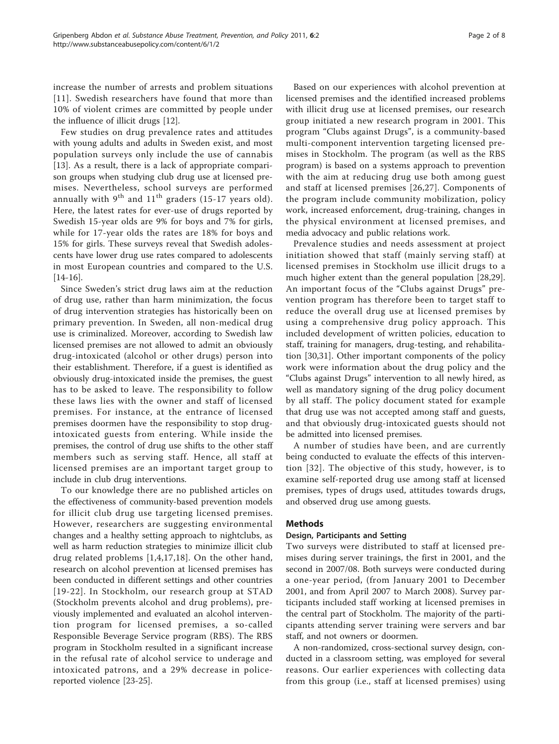increase the number of arrests and problem situations [[11\]](#page-6-0). Swedish researchers have found that more than 10% of violent crimes are committed by people under the influence of illicit drugs [[12\]](#page-6-0).

Few studies on drug prevalence rates and attitudes with young adults and adults in Sweden exist, and most population surveys only include the use of cannabis [[13\]](#page-6-0). As a result, there is a lack of appropriate comparison groups when studying club drug use at licensed premises. Nevertheless, school surveys are performed annually with  $9^{th}$  and  $11^{th}$  graders (15-17 years old). Here, the latest rates for ever-use of drugs reported by Swedish 15-year olds are 9% for boys and 7% for girls, while for 17-year olds the rates are 18% for boys and 15% for girls. These surveys reveal that Swedish adolescents have lower drug use rates compared to adolescents in most European countries and compared to the U.S. [[14-16\]](#page-6-0).

Since Sweden's strict drug laws aim at the reduction of drug use, rather than harm minimization, the focus of drug intervention strategies has historically been on primary prevention. In Sweden, all non-medical drug use is criminalized. Moreover, according to Swedish law licensed premises are not allowed to admit an obviously drug-intoxicated (alcohol or other drugs) person into their establishment. Therefore, if a guest is identified as obviously drug-intoxicated inside the premises, the guest has to be asked to leave. The responsibility to follow these laws lies with the owner and staff of licensed premises. For instance, at the entrance of licensed premises doormen have the responsibility to stop drugintoxicated guests from entering. While inside the premises, the control of drug use shifts to the other staff members such as serving staff. Hence, all staff at licensed premises are an important target group to include in club drug interventions.

To our knowledge there are no published articles on the effectiveness of community-based prevention models for illicit club drug use targeting licensed premises. However, researchers are suggesting environmental changes and a healthy setting approach to nightclubs, as well as harm reduction strategies to minimize illicit club drug related problems [[1,4](#page-6-0),[17,18](#page-6-0)]. On the other hand, research on alcohol prevention at licensed premises has been conducted in different settings and other countries [[19-](#page-6-0)[22](#page-7-0)]. In Stockholm, our research group at STAD (Stockholm prevents alcohol and drug problems), previously implemented and evaluated an alcohol intervention program for licensed premises, a so-called Responsible Beverage Service program (RBS). The RBS program in Stockholm resulted in a significant increase in the refusal rate of alcohol service to underage and intoxicated patrons, and a 29% decrease in policereported violence [\[23-25](#page-7-0)].

Based on our experiences with alcohol prevention at licensed premises and the identified increased problems with illicit drug use at licensed premises, our research group initiated a new research program in 2001. This program "Clubs against Drugs", is a community-based multi-component intervention targeting licensed premises in Stockholm. The program (as well as the RBS program) is based on a systems approach to prevention with the aim at reducing drug use both among guest and staff at licensed premises [[26](#page-7-0),[27\]](#page-7-0). Components of the program include community mobilization, policy work, increased enforcement, drug-training, changes in the physical environment at licensed premises, and media advocacy and public relations work.

Prevalence studies and needs assessment at project initiation showed that staff (mainly serving staff) at licensed premises in Stockholm use illicit drugs to a much higher extent than the general population [\[28,29](#page-7-0)]. An important focus of the "Clubs against Drugs" prevention program has therefore been to target staff to reduce the overall drug use at licensed premises by using a comprehensive drug policy approach. This included development of written policies, education to staff, training for managers, drug-testing, and rehabilitation [[30,31\]](#page-7-0). Other important components of the policy work were information about the drug policy and the "Clubs against Drugs" intervention to all newly hired, as well as mandatory signing of the drug policy document by all staff. The policy document stated for example that drug use was not accepted among staff and guests, and that obviously drug-intoxicated guests should not be admitted into licensed premises.

A number of studies have been, and are currently being conducted to evaluate the effects of this intervention [[32](#page-7-0)]. The objective of this study, however, is to examine self-reported drug use among staff at licensed premises, types of drugs used, attitudes towards drugs, and observed drug use among guests.

## Methods

## Design, Participants and Setting

Two surveys were distributed to staff at licensed premises during server trainings, the first in 2001, and the second in 2007/08. Both surveys were conducted during a one-year period, (from January 2001 to December 2001, and from April 2007 to March 2008). Survey participants included staff working at licensed premises in the central part of Stockholm. The majority of the participants attending server training were servers and bar staff, and not owners or doormen.

A non-randomized, cross-sectional survey design, conducted in a classroom setting, was employed for several reasons. Our earlier experiences with collecting data from this group (i.e., staff at licensed premises) using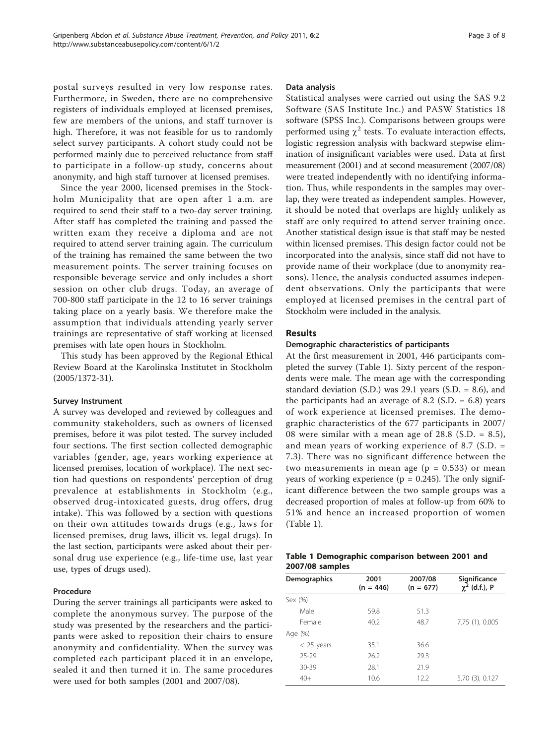<span id="page-2-0"></span>postal surveys resulted in very low response rates. Furthermore, in Sweden, there are no comprehensive registers of individuals employed at licensed premises, few are members of the unions, and staff turnover is high. Therefore, it was not feasible for us to randomly select survey participants. A cohort study could not be performed mainly due to perceived reluctance from staff to participate in a follow-up study, concerns about anonymity, and high staff turnover at licensed premises.

Since the year 2000, licensed premises in the Stockholm Municipality that are open after 1 a.m. are required to send their staff to a two-day server training. After staff has completed the training and passed the written exam they receive a diploma and are not required to attend server training again. The curriculum of the training has remained the same between the two measurement points. The server training focuses on responsible beverage service and only includes a short session on other club drugs. Today, an average of 700-800 staff participate in the 12 to 16 server trainings taking place on a yearly basis. We therefore make the assumption that individuals attending yearly server trainings are representative of staff working at licensed premises with late open hours in Stockholm.

This study has been approved by the Regional Ethical Review Board at the Karolinska Institutet in Stockholm (2005/1372-31).

## Survey Instrument

A survey was developed and reviewed by colleagues and community stakeholders, such as owners of licensed premises, before it was pilot tested. The survey included four sections. The first section collected demographic variables (gender, age, years working experience at licensed premises, location of workplace). The next section had questions on respondents' perception of drug prevalence at establishments in Stockholm (e.g., observed drug-intoxicated guests, drug offers, drug intake). This was followed by a section with questions on their own attitudes towards drugs (e.g., laws for licensed premises, drug laws, illicit vs. legal drugs). In the last section, participants were asked about their personal drug use experience (e.g., life-time use, last year use, types of drugs used).

## Procedure

During the server trainings all participants were asked to complete the anonymous survey. The purpose of the study was presented by the researchers and the participants were asked to reposition their chairs to ensure anonymity and confidentiality. When the survey was completed each participant placed it in an envelope, sealed it and then turned it in. The same procedures were used for both samples (2001 and 2007/08).

#### Data analysis

Statistical analyses were carried out using the SAS 9.2 Software (SAS Institute Inc.) and PASW Statistics 18 software (SPSS Inc.). Comparisons between groups were performed using  $\chi^2$  tests. To evaluate interaction effects, logistic regression analysis with backward stepwise elimination of insignificant variables were used. Data at first measurement (2001) and at second measurement (2007/08) were treated independently with no identifying information. Thus, while respondents in the samples may overlap, they were treated as independent samples. However, it should be noted that overlaps are highly unlikely as staff are only required to attend server training once. Another statistical design issue is that staff may be nested within licensed premises. This design factor could not be incorporated into the analysis, since staff did not have to provide name of their workplace (due to anonymity reasons). Hence, the analysis conducted assumes independent observations. Only the participants that were employed at licensed premises in the central part of Stockholm were included in the analysis.

#### Results

### Demographic characteristics of participants

At the first measurement in 2001, 446 participants completed the survey (Table 1). Sixty percent of the respondents were male. The mean age with the corresponding standard deviation (S.D.) was 29.1 years (S.D. = 8.6), and the participants had an average of 8.2 (S.D.  $= 6.8$ ) years of work experience at licensed premises. The demographic characteristics of the 677 participants in 2007/ 08 were similar with a mean age of  $28.8$  (S.D. = 8.5), and mean years of working experience of 8.7 (S.D. = 7.3). There was no significant difference between the two measurements in mean age  $(p = 0.533)$  or mean years of working experience ( $p = 0.245$ ). The only significant difference between the two sample groups was a decreased proportion of males at follow-up from 60% to 51% and hence an increased proportion of women (Table 1).

## Table 1 Demographic comparison between 2001 and 2007/08 samples

| Demographics | 2001<br>$(n = 446)$ | 2007/08<br>$(n = 677)$ | Significance<br>$\chi^2$ (d.f.), P |
|--------------|---------------------|------------------------|------------------------------------|
| Sex (%)      |                     |                        |                                    |
| Male         | 59.8                | 51.3                   |                                    |
| Female       | 40.2                | 48.7                   | 7.75 (1), 0.005                    |
| Age (%)      |                     |                        |                                    |
| $<$ 25 years | 35.1                | 36.6                   |                                    |
| $25 - 29$    | 26.2                | 29.3                   |                                    |
| 30-39        | 28.1                | 21.9                   |                                    |
| $40+$        | 10.6                | 12.2                   | 5.70 (3), 0.127                    |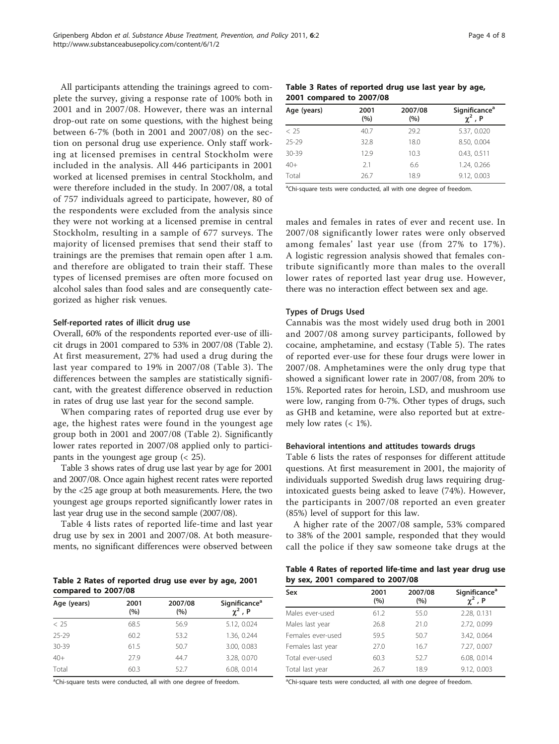<span id="page-3-0"></span>All participants attending the trainings agreed to complete the survey, giving a response rate of 100% both in 2001 and in 2007/08. However, there was an internal drop-out rate on some questions, with the highest being between 6-7% (both in 2001 and 2007/08) on the section on personal drug use experience. Only staff working at licensed premises in central Stockholm were included in the analysis. All 446 participants in 2001 worked at licensed premises in central Stockholm, and were therefore included in the study. In 2007/08, a total of 757 individuals agreed to participate, however, 80 of the respondents were excluded from the analysis since they were not working at a licensed premise in central Stockholm, resulting in a sample of 677 surveys. The majority of licensed premises that send their staff to trainings are the premises that remain open after 1 a.m. and therefore are obligated to train their staff. These types of licensed premises are often more focused on alcohol sales than food sales and are consequently categorized as higher risk venues.

#### Self-reported rates of illicit drug use

Overall, 60% of the respondents reported ever-use of illicit drugs in 2001 compared to 53% in 2007/08 (Table 2). At first measurement, 27% had used a drug during the last year compared to 19% in 2007/08 (Table 3). The differences between the samples are statistically significant, with the greatest difference observed in reduction in rates of drug use last year for the second sample.

When comparing rates of reported drug use ever by age, the highest rates were found in the youngest age group both in 2001 and 2007/08 (Table 2). Significantly lower rates reported in 2007/08 applied only to participants in the youngest age group (< 25).

Table 3 shows rates of drug use last year by age for 2001 and 2007/08. Once again highest recent rates were reported by the <25 age group at both measurements. Here, the two youngest age groups reported significantly lower rates in last year drug use in the second sample (2007/08).

Table 4 lists rates of reported life-time and last year drug use by sex in 2001 and 2007/08. At both measurements, no significant differences were observed between

Table 2 Rates of reported drug use ever by age, 2001 compared to 2007/08

| Age (years) | 2001<br>(%) | 2007/08<br>(9/0) | Significance <sup>a</sup><br>$\gamma^2$ , P |
|-------------|-------------|------------------|---------------------------------------------|
| < 25        | 68.5        | 56.9             | 5.12, 0.024                                 |
| 25-29       | 60.2        | 53.2             | 1.36, 0.244                                 |
| 30-39       | 61.5        | 50.7             | 3.00, 0.083                                 |
| $40+$       | 27.9        | 44.7             | 3.28, 0.070                                 |
| Total       | 60.3        | 52.7             | 6.08, 0.014                                 |

<sup>a</sup>Chi-square tests were conducted, all with one degree of freedom.

Table 3 Rates of reported drug use last year by age, 2001 compared to 2007/08

| Age (years) | 2001<br>(%) | 2007/08<br>(%) | Significance <sup>a</sup><br>. P |
|-------------|-------------|----------------|----------------------------------|
| < 25        | 40.7        | 29.2           | 5.37, 0.020                      |
| 25-29       | 32.8        | 18.0           | 8.50, 0.004                      |
| 30-39       | 12.9        | 10.3           | 0.43, 0.511                      |
| $40+$       | 2.1         | 6.6            | 1.24, 0.266                      |
| Total       | 26.7        | 18.9           | 9.12, 0.003                      |
|             |             |                |                                  |

<sup>a</sup>Chi-square tests were conducted, all with one degree of freedom.

males and females in rates of ever and recent use. In 2007/08 significantly lower rates were only observed among females' last year use (from 27% to 17%). A logistic regression analysis showed that females contribute significantly more than males to the overall lower rates of reported last year drug use. However, there was no interaction effect between sex and age.

#### Types of Drugs Used

Cannabis was the most widely used drug both in 2001 and 2007/08 among survey participants, followed by cocaine, amphetamine, and ecstasy (Table [5\)](#page-4-0). The rates of reported ever-use for these four drugs were lower in 2007/08. Amphetamines were the only drug type that showed a significant lower rate in 2007/08, from 20% to 15%. Reported rates for heroin, LSD, and mushroom use were low, ranging from 0-7%. Other types of drugs, such as GHB and ketamine, were also reported but at extremely low rates  $\left( < 1\% \right)$ .

#### Behavioral intentions and attitudes towards drugs

Table [6](#page-4-0) lists the rates of responses for different attitude questions. At first measurement in 2001, the majority of individuals supported Swedish drug laws requiring drugintoxicated guests being asked to leave (74%). However, the participants in 2007/08 reported an even greater (85%) level of support for this law.

A higher rate of the 2007/08 sample, 53% compared to 38% of the 2001 sample, responded that they would call the police if they saw someone take drugs at the

|  |  |  | Table 4 Rates of reported life-time and last year drug use |  |  |  |
|--|--|--|------------------------------------------------------------|--|--|--|
|  |  |  | by sex, 2001 compared to 2007/08                           |  |  |  |

| Sex               | 2001<br>(%) | 2007/08<br>(%) | Significance <sup>a</sup><br>$\chi^2$ , P |
|-------------------|-------------|----------------|-------------------------------------------|
| Males ever-used   | 61.2        | 55.0           | 2.28, 0.131                               |
| Males last year   | 26.8        | 21.0           | 2.72, 0.099                               |
| Females ever-used | 59.5        | 50.7           | 3.42, 0.064                               |
| Females last year | 27.0        | 16.7           | 7.27, 0.007                               |
| Total ever-used   | 60.3        | 52.7           | 6.08, 0.014                               |
| Total last year   | 26.7        | 18.9           | 9.12, 0.003                               |

<sup>a</sup>Chi-square tests were conducted, all with one degree of freedom.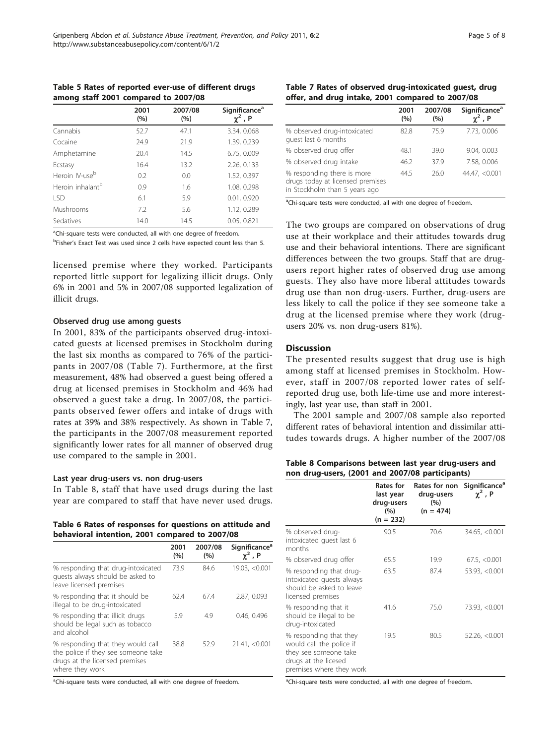<span id="page-4-0"></span>Table 5 Rates of reported ever-use of different drugs among staff 2001 compared to 2007/08

|                              | 2001<br>(%) | 2007/08<br>(%) | <b>Significance<sup>a</sup></b><br>$\chi^2$ , P |
|------------------------------|-------------|----------------|-------------------------------------------------|
| Cannabis                     | 52.7        | 47.1           | 3.34, 0.068                                     |
| Cocaine                      | 24.9        | 21.9           | 1.39, 0.239                                     |
| Amphetamine                  | 20.4        | 14.5           | 6.75, 0.009                                     |
| Ecstasy                      | 16.4        | 13.2           | 2.26, 0.133                                     |
| Heroin IV-use <sup>b</sup>   | 0.2         | 0.0            | 1.52, 0.397                                     |
| Heroin inhalant <sup>b</sup> | 0.9         | 1.6            | 1.08, 0.298                                     |
| <b>ISD</b>                   | 6.1         | 5.9            | 0.01, 0.920                                     |
| Mushrooms                    | 7.2         | 5.6            | 1.12, 0.289                                     |
| Sedatives                    | 14.0        | 14.5           | 0.05, 0.821                                     |

<sup>a</sup>Chi-square tests were conducted, all with one degree of freedom.

<sup>b</sup>Fisher's Exact Test was used since 2 cells have expected count less than 5.

licensed premise where they worked. Participants reported little support for legalizing illicit drugs. Only 6% in 2001 and 5% in 2007/08 supported legalization of illicit drugs.

#### Observed drug use among guests

In 2001, 83% of the participants observed drug-intoxicated guests at licensed premises in Stockholm during the last six months as compared to 76% of the participants in 2007/08 (Table 7). Furthermore, at the first measurement, 48% had observed a guest being offered a drug at licensed premises in Stockholm and 46% had observed a guest take a drug. In 2007/08, the participants observed fewer offers and intake of drugs with rates at 39% and 38% respectively. As shown in Table 7, the participants in the 2007/08 measurement reported significantly lower rates for all manner of observed drug use compared to the sample in 2001.

## Last year drug-users vs. non drug-users

In Table 8, staff that have used drugs during the last year are compared to staff that have never used drugs.

Table 6 Rates of responses for questions on attitude and behavioral intention, 2001 compared to 2007/08

|                                                                                                                               | 2001<br>(%) | 2007/08<br>(%) | Significance <sup>a</sup><br>$\chi^2$ , P |
|-------------------------------------------------------------------------------------------------------------------------------|-------------|----------------|-------------------------------------------|
| % responding that drug-intoxicated<br>quests always should be asked to<br>leave licensed premises                             | 73.9        | 84.6           | 19.03, <0.001                             |
| % responding that it should be<br>illegal to be drug-intoxicated                                                              | 62.4        | 67.4           | 2.87, 0.093                               |
| % responding that illicit drugs<br>should be legal such as tobacco<br>and alcohol                                             | 5.9         | 4.9            | 0.46, 0.496                               |
| % responding that they would call<br>the police if they see someone take<br>drugs at the licensed premises<br>where they work | 38.8        | 52.9           | 21.41, < 0.001                            |

<sup>a</sup>Chi-square tests were conducted, all with one degree of freedom.

|  |  |  |  | Table 7 Rates of observed drug-intoxicated guest, drug |  |
|--|--|--|--|--------------------------------------------------------|--|
|  |  |  |  | offer, and drug intake, 2001 compared to 2007/08       |  |

|                                                                                                 | 2001<br>(%) | 2007/08<br>(9/0) | Significance <sup>a</sup><br>$\gamma^2$ , P |
|-------------------------------------------------------------------------------------------------|-------------|------------------|---------------------------------------------|
| % observed drug-intoxicated<br>quest last 6 months                                              | 82.8        | 75.9             | 7.73, 0.006                                 |
| % observed drug offer                                                                           | 48.1        | 39.0             | 9.04, 0.003                                 |
| % observed drug intake                                                                          | 46.2        | 37.9             | 7.58, 0.006                                 |
| % responding there is more<br>drugs today at licensed premises<br>in Stockholm than 5 years ago | 445         | 26.0             | 44.47, <0.001                               |

<sup>a</sup>Chi-square tests were conducted, all with one degree of freedom.

The two groups are compared on observations of drug use at their workplace and their attitudes towards drug use and their behavioral intentions. There are significant differences between the two groups. Staff that are drugusers report higher rates of observed drug use among guests. They also have more liberal attitudes towards drug use than non drug-users. Further, drug-users are less likely to call the police if they see someone take a drug at the licensed premise where they work (drugusers 20% vs. non drug-users 81%).

## **Discussion**

The presented results suggest that drug use is high among staff at licensed premises in Stockholm. However, staff in 2007/08 reported lower rates of selfreported drug use, both life-time use and more interestingly, last year use, than staff in 2001.

The 2001 sample and 2007/08 sample also reported different rates of behavioral intention and dissimilar attitudes towards drugs. A higher number of the 2007/08

Table 8 Comparisons between last year drug-users and non drug-users, (2001 and 2007/08 participants)

|                                                                                                                                 | Rates for<br>last year<br>drug-users<br>(%)<br>$(n = 232)$ | Rates for non<br>drug-users<br>(%)<br>$(n = 474)$ | Significance <sup>a</sup><br>$\chi^2$ , P |
|---------------------------------------------------------------------------------------------------------------------------------|------------------------------------------------------------|---------------------------------------------------|-------------------------------------------|
| % observed drug-<br>intoxicated quest last 6<br>months                                                                          | 90.5                                                       | 70.6                                              | 34.65, < 0.001                            |
| % observed drug offer                                                                                                           | 65.5                                                       | 19.9                                              | 67.5, < 0.001                             |
| % responding that drug-<br>intoxicated quests always<br>should be asked to leave<br>licensed premises                           | 63.5                                                       | 87.4                                              | 53.93, <0.001                             |
| % responding that it<br>should be illegal to be<br>drug-intoxicated                                                             | 41.6                                                       | 75.0                                              | 73.93, <0.001                             |
| % responding that they<br>would call the police if<br>they see someone take<br>drugs at the licesed<br>premises where they work | 19.5                                                       | 80.5                                              | 52.26, < 0.001                            |

<sup>a</sup>Chi-square tests were conducted, all with one degree of freedom.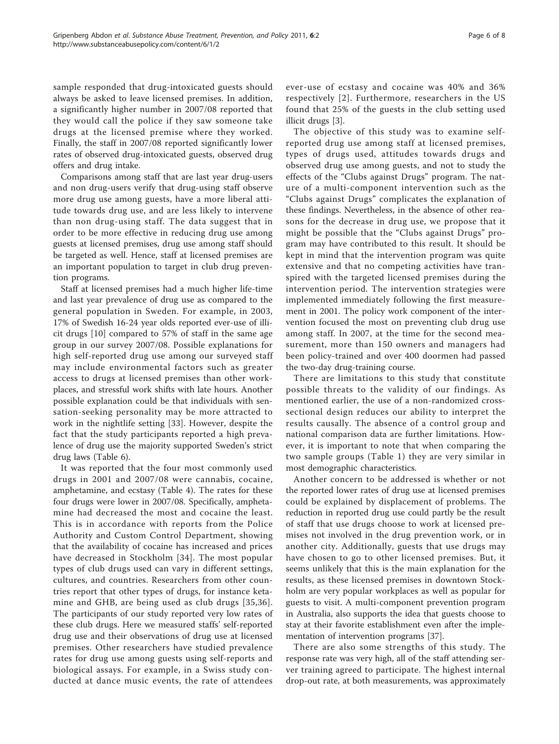sample responded that drug-intoxicated guests should always be asked to leave licensed premises. In addition, a significantly higher number in 2007/08 reported that they would call the police if they saw someone take drugs at the licensed premise where they worked. Finally, the staff in 2007/08 reported significantly lower rates of observed drug-intoxicated guests, observed drug offers and drug intake.

Comparisons among staff that are last year drug-users and non drug-users verify that drug-using staff observe more drug use among guests, have a more liberal attitude towards drug use, and are less likely to intervene than non drug-using staff. The data suggest that in order to be more effective in reducing drug use among guests at licensed premises, drug use among staff should be targeted as well. Hence, staff at licensed premises are an important population to target in club drug prevention programs.

Staff at licensed premises had a much higher life-time and last year prevalence of drug use as compared to the general population in Sweden. For example, in 2003, 17% of Swedish 16-24 year olds reported ever-use of illicit drugs [[10\]](#page-6-0) compared to 57% of staff in the same age group in our survey 2007/08. Possible explanations for high self-reported drug use among our surveyed staff may include environmental factors such as greater access to drugs at licensed premises than other workplaces, and stressful work shifts with late hours. Another possible explanation could be that individuals with sensation-seeking personality may be more attracted to work in the nightlife setting [\[33](#page-7-0)]. However, despite the fact that the study participants reported a high prevalence of drug use the majority supported Sweden's strict drug laws (Table [6\)](#page-4-0).

It was reported that the four most commonly used drugs in 2001 and 2007/08 were cannabis, cocaine, amphetamine, and ecstasy (Table [4\)](#page-3-0). The rates for these four drugs were lower in 2007/08. Specifically, amphetamine had decreased the most and cocaine the least. This is in accordance with reports from the Police Authority and Custom Control Department, showing that the availability of cocaine has increased and prices have decreased in Stockholm [[34](#page-7-0)]. The most popular types of club drugs used can vary in different settings, cultures, and countries. Researchers from other countries report that other types of drugs, for instance ketamine and GHB, are being used as club drugs [[35](#page-7-0),[36\]](#page-7-0). The participants of our study reported very low rates of these club drugs. Here we measured staffs' self-reported drug use and their observations of drug use at licensed premises. Other researchers have studied prevalence rates for drug use among guests using self-reports and biological assays. For example, in a Swiss study conducted at dance music events, the rate of attendees ever-use of ecstasy and cocaine was 40% and 36% respectively [[2](#page-6-0)]. Furthermore, researchers in the US found that 25% of the guests in the club setting used illicit drugs [\[3](#page-6-0)].

The objective of this study was to examine selfreported drug use among staff at licensed premises, types of drugs used, attitudes towards drugs and observed drug use among guests, and not to study the effects of the "Clubs against Drugs" program. The nature of a multi-component intervention such as the "Clubs against Drugs" complicates the explanation of these findings. Nevertheless, in the absence of other reasons for the decrease in drug use, we propose that it might be possible that the "Clubs against Drugs" program may have contributed to this result. It should be kept in mind that the intervention program was quite extensive and that no competing activities have transpired with the targeted licensed premises during the intervention period. The intervention strategies were implemented immediately following the first measurement in 2001. The policy work component of the intervention focused the most on preventing club drug use among staff. In 2007, at the time for the second measurement, more than 150 owners and managers had been policy-trained and over 400 doormen had passed the two-day drug-training course.

There are limitations to this study that constitute possible threats to the validity of our findings. As mentioned earlier, the use of a non-randomized crosssectional design reduces our ability to interpret the results causally. The absence of a control group and national comparison data are further limitations. However, it is important to note that when comparing the two sample groups (Table [1\)](#page-2-0) they are very similar in most demographic characteristics.

Another concern to be addressed is whether or not the reported lower rates of drug use at licensed premises could be explained by displacement of problems. The reduction in reported drug use could partly be the result of staff that use drugs choose to work at licensed premises not involved in the drug prevention work, or in another city. Additionally, guests that use drugs may have chosen to go to other licensed premises. But, it seems unlikely that this is the main explanation for the results, as these licensed premises in downtown Stockholm are very popular workplaces as well as popular for guests to visit. A multi-component prevention program in Australia, also supports the idea that guests choose to stay at their favorite establishment even after the implementation of intervention programs [\[37](#page-7-0)].

There are also some strengths of this study. The response rate was very high, all of the staff attending server training agreed to participate. The highest internal drop-out rate, at both measurements, was approximately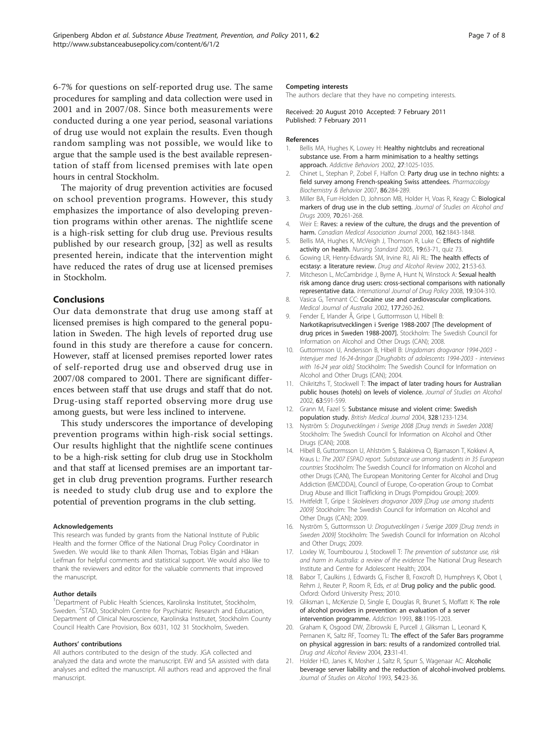<span id="page-6-0"></span>6-7% for questions on self-reported drug use. The same procedures for sampling and data collection were used in 2001 and in 2007/08. Since both measurements were conducted during a one year period, seasonal variations of drug use would not explain the results. Even though random sampling was not possible, we would like to argue that the sample used is the best available representation of staff from licensed premises with late open hours in central Stockholm.

The majority of drug prevention activities are focused on school prevention programs. However, this study emphasizes the importance of also developing prevention programs within other arenas. The nightlife scene is a high-risk setting for club drug use. Previous results published by our research group, [[32\]](#page-7-0) as well as results presented herein, indicate that the intervention might have reduced the rates of drug use at licensed premises in Stockholm.

## Conclusions

Our data demonstrate that drug use among staff at licensed premises is high compared to the general population in Sweden. The high levels of reported drug use found in this study are therefore a cause for concern. However, staff at licensed premises reported lower rates of self-reported drug use and observed drug use in 2007/08 compared to 2001. There are significant differences between staff that use drugs and staff that do not. Drug-using staff reported observing more drug use among guests, but were less inclined to intervene.

This study underscores the importance of developing prevention programs within high-risk social settings. Our results highlight that the nightlife scene continues to be a high-risk setting for club drug use in Stockholm and that staff at licensed premises are an important target in club drug prevention programs. Further research is needed to study club drug use and to explore the potential of prevention programs in the club setting.

#### Acknowledgements

This research was funded by grants from the National Institute of Public Health and the former Office of the National Drug Policy Coordinator in Sweden. We would like to thank Allen Thomas, Tobias Elgán and Håkan Leifman for helpful comments and statistical support. We would also like to thank the reviewers and editor for the valuable comments that improved the manuscript.

#### Author details

<sup>1</sup>Department of Public Health Sciences, Karolinska Institutet, Stockholm, Sweden. <sup>2</sup>STAD, Stockholm Centre for Psychiatric Research and Education, Department of Clinical Neuroscience, Karolinska Institutet, Stockholm County Council Health Care Provision, Box 6031, 102 31 Stockholm, Sweden.

#### Authors' contributions

All authors contributed to the design of the study. JGA collected and analyzed the data and wrote the manuscript. EW and SA assisted with data analyses and edited the manuscript. All authors read and approved the final manuscript.

#### Competing interests

The authors declare that they have no competing interests.

Received: 20 August 2010 Accepted: 7 February 2011 Published: 7 February 2011

#### References

- 1. Bellis MA, Hughes K, Lowey H: [Healthy nightclubs and recreational](http://www.ncbi.nlm.nih.gov/pubmed/12369470?dopt=Abstract) [substance use. From a harm minimisation to a healthy settings](http://www.ncbi.nlm.nih.gov/pubmed/12369470?dopt=Abstract) [approach.](http://www.ncbi.nlm.nih.gov/pubmed/12369470?dopt=Abstract) Addictive Behaviors 2002, 27:1025-1035.
- 2. Chinet L, Stephan P, Zobel F, Halfon O: Party drug use in techno nights: a field survey among French-speaking Swiss attendees. Pharmacology Biochemistry & Behavior 2007, 86:284-289.
- 3. Miller BA, Furr-Holden D, Johnson MB, Holder H, Voas R, Keagy C: [Biological](http://www.ncbi.nlm.nih.gov/pubmed/19261238?dopt=Abstract) [markers of drug use in the club setting.](http://www.ncbi.nlm.nih.gov/pubmed/19261238?dopt=Abstract) Journal of Studies on Alcohol and Drugs 2009, 70:261-268.
- 4. Weir E: [Raves: a review of the culture, the drugs and the prevention of](http://www.ncbi.nlm.nih.gov/pubmed/10906922?dopt=Abstract) [harm.](http://www.ncbi.nlm.nih.gov/pubmed/10906922?dopt=Abstract) Canadian Medical Association Journal 2000, 162:1843-1848.
- 5. Bellis MA, Hughes K, McVeigh J, Thomson R, Luke C: [Effects of nightlife](http://www.ncbi.nlm.nih.gov/pubmed/15835440?dopt=Abstract) [activity on health.](http://www.ncbi.nlm.nih.gov/pubmed/15835440?dopt=Abstract) Nursing Standard 2005, 19:63-71, quiz 73.
- 6. Gowing LR, Henry-Edwards SM, Irvine RJ, Ali RL: [The health effects of](http://www.ncbi.nlm.nih.gov/pubmed/12189005?dopt=Abstract) [ecstasy: a literature review.](http://www.ncbi.nlm.nih.gov/pubmed/12189005?dopt=Abstract) Drug and Alcohol Review 2002, 21:53-63.
- 7. Mitcheson L, McCambridge J, Byrne A, Hunt N, Winstock A: [Sexual health](http://www.ncbi.nlm.nih.gov/pubmed/18638703?dopt=Abstract) [risk among dance drug users: cross-sectional comparisons with nationally](http://www.ncbi.nlm.nih.gov/pubmed/18638703?dopt=Abstract) [representative data.](http://www.ncbi.nlm.nih.gov/pubmed/18638703?dopt=Abstract) International Journal of Drug Policy 2008, 19:304-310.
- 8. Vasica G, Tennant CC: [Cocaine use and cardiovascular complications.](http://www.ncbi.nlm.nih.gov/pubmed/12197823?dopt=Abstract) Medical Journal of Australia 2002, 177:260-262.
- 9. Fender E, Irlander Å, Gripe I, Guttormsson U, Hibell B: Narkotikaprisutvecklingen i Sverige 1988-2007 [The development of drug prices in Sweden 1988-2007]. Stockholm: The Swedish Council for Information on Alcohol and Other Drugs (CAN); 2008.
- 10. Guttormsson U, Andersson B, Hibell B: Ungdomars drogvanor 1994-2003 Intervjuer med 16-24-åringar [Drughabits of adolescents 1994-2003 - interviews with 16-24 year olds] Stockholm: The Swedish Council for Information on Alcohol and Other Drugs (CAN); 2004.
- 11. Chikritzhs T, Stockwell T: [The impact of later trading hours for Australian](http://www.ncbi.nlm.nih.gov/pubmed/12380856?dopt=Abstract) [public houses \(hotels\) on levels of violence.](http://www.ncbi.nlm.nih.gov/pubmed/12380856?dopt=Abstract) Journal of Studies on Alcohol 2002, 63:591-599.
- 12. Grann M, Fazel S: [Substance misuse and violent crime: Swedish](http://www.ncbi.nlm.nih.gov/pubmed/15155501?dopt=Abstract) [population study.](http://www.ncbi.nlm.nih.gov/pubmed/15155501?dopt=Abstract) British Medical Journal 2004, 328:1233-1234.
- 13. Nyström S: Drogutvecklingen i Sverige 2008 [Drug trends in Sweden 2008] Stockholm: The Swedish Council for Information on Alcohol and Other Drugs (CAN); 2008.
- 14. Hibell B, Guttormsson U, Ahlström S, Balakireva O, Bjarnason T, Kokkevi A, Kraus L: The 2007 ESPAD report. Substance use among students in 35 European countries Stockholm: The Swedish Council for Information on Alcohol and other Drugs (CAN), The European Monitoring Center for Alcohol and Drug Addiction (EMCDDA), Council of Europe, Co-operation Group to Combat Drug Abuse and Illicit Trafficking in Drugs (Pompidou Group); 2009.
- 15. Hvitfeldt T, Gripe I: Skolelevers drogvanor 2009 [Drug use among students 2009] Stockholm: The Swedish Council for Information on Alcohol and Other Drugs (CAN); 2009.
- 16. Nyström S, Guttormsson U: Drogutvecklingen i Sverige 2009 [Drug trends in Sweden 2009] Stockholm: The Swedish Council for Information on Alcohol and Other Drugs; 2009.
- 17. Loxley W, Toumbourou J, Stockwell T: The prevention of substance use, risk and harm in Australia: a review of the evidence The National Drug Research Institute and Centre for Adolescent Health; 2004.
- 18. Babor T, Caulkins J, Edwards G, Fischer B, Foxcroft D, Humphreys K, Obot I, Rehm J, Reuter P, Room R, Eds, et al: Drug policy and the public good. Oxford: Oxford University Press; 2010.
- 19. Gliksman L, McKenzie D, Single E, Douglas R, Brunet S, Moffatt K: [The role](http://www.ncbi.nlm.nih.gov/pubmed/8241919?dopt=Abstract) [of alcohol providers in prevention: an evaluation of a server](http://www.ncbi.nlm.nih.gov/pubmed/8241919?dopt=Abstract) [intervention programme.](http://www.ncbi.nlm.nih.gov/pubmed/8241919?dopt=Abstract) Addiction 1993, 88:1195-1203.
- 20. Graham K, Osgood DW, Zibrowski E, Purcell J, Gliksman L, Leonard K, Pernanen K, Saltz RF, Toomey TL: [The effect of the Safer Bars programme](http://www.ncbi.nlm.nih.gov/pubmed/14965885?dopt=Abstract) [on physical aggression in bars: results of a randomized controlled trial.](http://www.ncbi.nlm.nih.gov/pubmed/14965885?dopt=Abstract) Drug and Alcohol Review 2004, 23:31-41.
- 21. Holder HD, Janes K, Mosher J, Saltz R, Spurr S, Wagenaar AC: [Alcoholic](http://www.ncbi.nlm.nih.gov/pubmed/8355497?dopt=Abstract) [beverage server liability and the reduction of alcohol-involved problems.](http://www.ncbi.nlm.nih.gov/pubmed/8355497?dopt=Abstract) Journal of Studies on Alcohol 1993, 54:23-36.